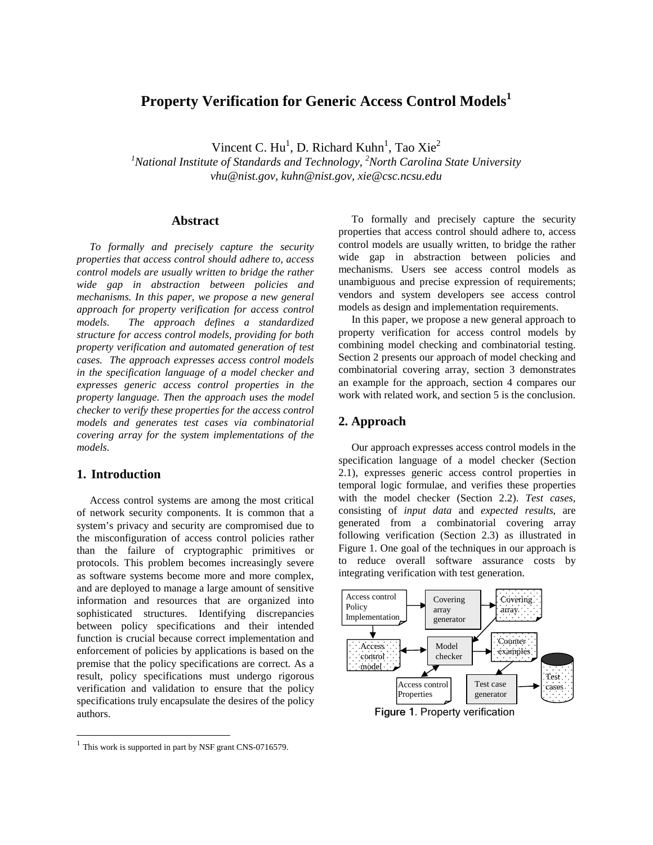# **Property Verification for Generic Access Control Models<sup>1</sup>**

Vincent C.  $\text{Hu}^1$ , D. Richard Kuhn<sup>1</sup>, Tao Xie<sup>2</sup>

 *1 National Institute of Standards and Technology, <sup>2</sup> North Carolina State University vhu@nist.gov, kuhn@nist.gov, xie@csc.ncsu.edu* 

## **Abstract**

 *To formally and precisely capture the security properties that access control should adhere to, access control models are usually written to bridge the rather wide gap in abstraction between policies and mechanisms. In this paper, we propose a new general approach for property verification for access control*  models.  *structure for access control models, providing for both property verification and automated generation of test cases. The approach expresses access control models in the specification language of a model checker and expresses generic access control properties in the property language. Then the approach uses the model checker to verify these properties for the access control models and generates test cases via combinatorial covering array for the system implementations of the models. The approach defines a standardized models.* 

## **1. Introduction**

l

 Access control systems are among the most critical of network security components. It is common that a system's privacy and security are compromised due to the misconfiguration of access control policies rather than the failure of cryptographic primitives or protocols. This problem becomes increasingly severe as software systems become more and more complex, and are deployed to manage a large amount of sensitive information and resources that are organized into sophisticated structures. Identifying discrepancies between policy specifications and their intended function is crucial because correct implementation and enforcement of policies by applications is based on the premise that the policy specifications are correct. As a result, policy specifications must undergo rigorous verification and validation to ensure that the policy specifications truly encapsulate the desires of the policy authors **Albstract**<br>
To formally and precisely capture the security represents that access control should adhere to, access<br>
properties that access control should adhere to, access with experimentals are usually written, then<br>def

To formally and precisely capture the security properties that access control should adhere to, access control models are usually written, to bridge the rather wide gap in abstraction between policies and mechanisms. Users see access control models as unambiguous and precise expression of requirements; vendors and system developers see access control models as design and implementation requirements.

 In this paper, we propose a new general approach to property verification for access control models by combining model checking and combinatorial testing. Section 2 presents our approach of model checking and combinatorial covering array, section 3 demonstrates an example for the approach, section 4 compares our work with related work, and section 5 is the conclusion.

## **2. Approach**

 Our approach expresses access control models in the specification language of a model checker (Section 2.1), expresses generic access control properties in temporal logic formulae, and verifies these properties with the model checker (Section 2.2). *Test cases*, consisting of *input data* and *expected results*, are generated from a combinatorial covering array following verification (Section 2.3) as illustrated in Figure 1. One goal of the techniques in our approach is to reduce overall software assurance costs by integrating verification with test generation.



Figure 1. Property verification

 $1$  This work is supported in part by NSF grant CNS-0716579.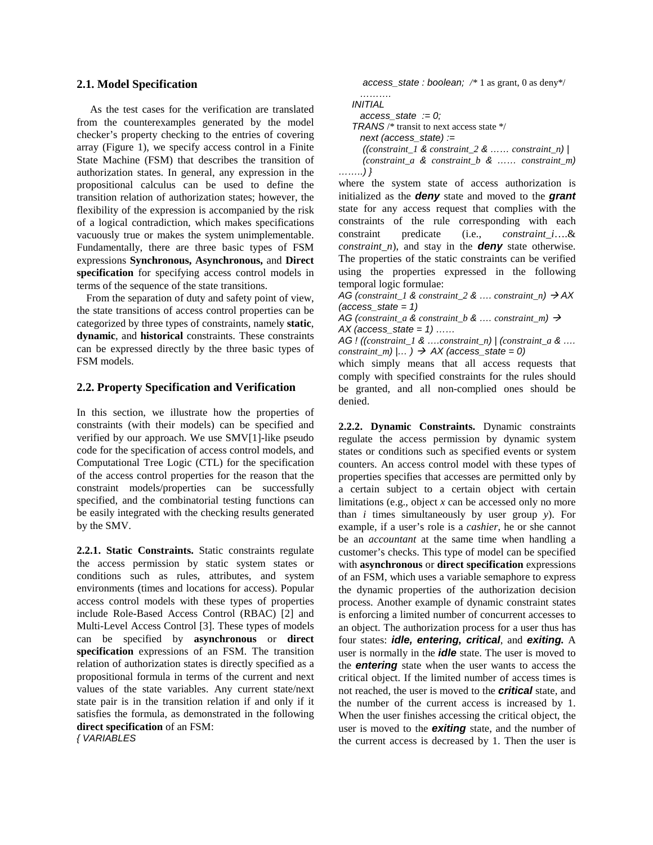## **2.1. Model Specification**

 from the counterexamples generated by the model checker's property checking to the entries of covering array (Figure 1), we specify access control in a Finite State Machine (FSM) that describes the transition of authorization states. In general, any expression in the propositional calculus can be used to define the transition relation of authorization states; however, the flexibility of the expression is accompanied by the risk of a logical contradiction, which makes specifications vacuously true or makes the system unimplementable. Fundamentally, there are three basic types of FSM  expressions **Synchronous, Asynchronous,** and **Direct specification** for specifying access control models in terms of the sequence of the state transitions. As the test cases for the verification are translated

 From the separation of duty and safety point of view, the state transitions of access control properties can be categorized by three types of constraints, namely **static**, **dynamic**, and **historical** constraints. These constraints can be expressed directly by the three basic types of FSM models.

## **2.2. Property Specification and Verification**

 In this section, we illustrate how the properties of constraints (with their models) can be specified and verified by our approach. We use SMV[1]-like pseudo code for the specification of access control models, and Computational Tree Logic (CTL) for the specification of the access control properties for the reason that the constraint models/properties can be successfully specified, and the combinatorial testing functions can be easily integrated with the checking results generated by the SMV.

 **2.2.1. Static Constraints.** Static constraints regulate the access permission by static system states or conditions such as rules, attributes, and system environments (times and locations for access). Popular access control models with these types of properties include Role-Based Access Control (RBAC) [2] and Multi-Level Access Control [3]. These types of models can be specified by **asynchronous** or **direct specification** expressions of an FSM. The transition relation of authorization states is directly specified as a propositional formula in terms of the current and next values of the state variables. Any current state/next state pair is in the transition relation if and only if it satisfies the formula, as demonstrated in the following **direct specification** of an FSM:

{ VARIABLES

access\_state : boolean; */\** 1 as grant, 0 as deny\*/

 ……..) } ………. INITIAL  $access\_state := 0;$ TRANS /\* transit to next access state \*/ next (access  $state$ ) := ((*constraint\_1* & *constraint\_2* & …… *constraint\_n*) | (*constraint\_a* & *constraint\_b* & …… *constraint\_m*)

 where the system state of access authorization is initialized as the **deny** state and moved to the **grant**  state for any access request that complies with the constraints of the rule corresponding with each predicate *constraint\_n*), and stay in the **deny** state otherwise. The properties of the static constraints can be verified using the properties expressed in the following temporal logic formulae: constraint predicate (i.e., *constraint\_i*….&

 $AG$  (*constraint\_1 & constraint\_2 & .... constraint\_n*)  $\rightarrow$  AX  $(access\_state = 1)$ 

 AG (*constraint\_a* & *constraint\_b* & …. *constraint\_m*) -  $AX$  (access\_state = 1) ......

 AG ! ((*constraint\_1* & ….*constraint\_n*) | (*constraint\_a* & ….  $constraint\_m)$   $|...$   $\rangle$   $\rightarrow$  AX (access\_state = 0)

 which simply means that all access requests that comply with specified constraints for the rules should be granted, and all non-complied ones should be denied.

 **2.2.2. Dynamic Constraints.** Dynamic constraints regulate the access permission by dynamic system states or conditions such as specified events or system counters. An access control model with these types of properties specifies that accesses are permitted only by a certain subject to a certain object with certain limitations (e.g., object *x* can be accessed only no more than *i* times simultaneously by user group *y*). For example, if a user's role is a *cashier*, he or she cannot be an *accountant* at the same time when handling a customer's checks. This type of model can be specified with **asynchronous** or **direct specification** expressions of an FSM, which uses a variable semaphore to express the dynamic properties of the authorization decision process. Another example of dynamic constraint states is enforcing a limited number of concurrent accesses to an object. The authorization process for a user thus has four states: **idle, entering***,* **critical**, and **exiting***.* A user is normally in the **idle** state. The user is moved to the **entering** state when the user wants to access the critical object. If the limited number of access times is not reached, the user is moved to the **critical** state, and the number of the current access is increased by 1. When the user finishes accessing the critical object, the user is moved to the **exiting** state, and the number of the current access is decreased by 1. Then the user is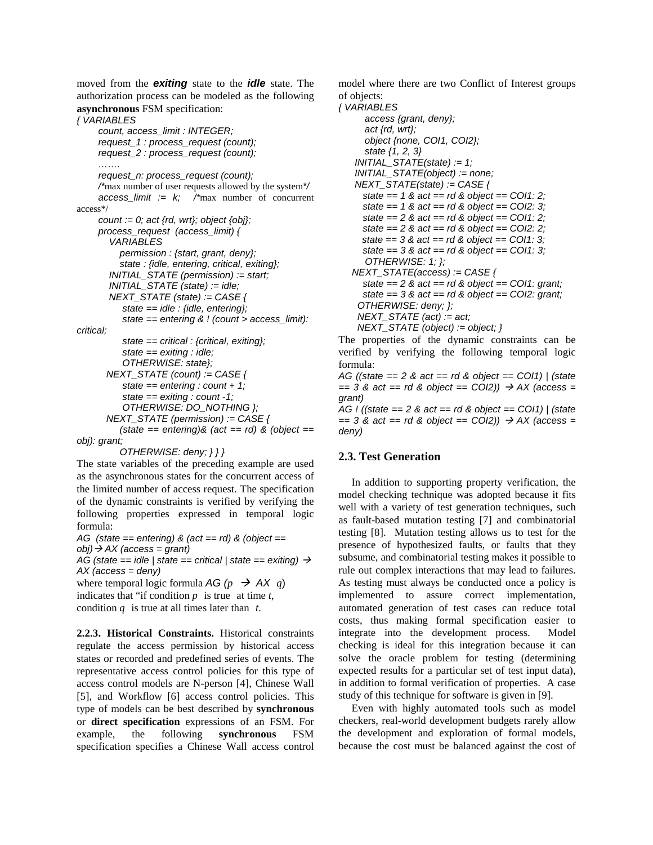moved from the **exiting** state to the **idle** state. The authorization process can be modeled as the following **asynchronous** FSM specification:

#### { VARIABLES

critical: obj): grant; count, access\_limit : INTEGER; request\_1 : process\_request (count); request\_2 : process\_request (count); …… request\_n: process\_request (count); /\*max number of user requests allowed by the system\*/ access limit :=  $k$ ; /\*max number of concurrent access\*/ count := 0; act {rd, wrt}; object {obj}; process\_request (access\_limit) { VARIABLES permission : {start, grant, deny}; state : {idle, entering, critical, exiting}; INITIAL\_STATE (permission) := start;  $INTIAL\_STATE$  (state) := idle;  $NEXT\_STATE$  (state) := CASE { state  $=$  idle : {idle, entering}; state == entering & ! (count > access\_limit): state  $=$  critical : {critical, exiting}; state  $=$  exiting : idle; OTHERWISE: state};  $NEXT\_STATE$  (count) := CASE { state  $=$  entering : count + 1; state  $=$  exiting : count - 1; OTHERWISE: DO\_NOTHING };  $NEXT\_STATE$  (permission) := CASE {  $(state == entering)$ &  $act == rd)$  &  $(object ==$ 

OTHERWISE: deny; } } }

 The state variables of the preceding example are used as the asynchronous states for the concurrent access of the limited number of access request. The specification of the dynamic constraints is verified by verifying the following properties expressed in temporal logic formula:

AG (state == entering) & (act == rd) & (object ==  $obj$ )  $\rightarrow$  AX (access = grant) AG (state == idle | state == critical | state == exiting)  $\rightarrow$  AX (access = deny) where temporal logic formula AG  $(p \rightarrow AX q)$ 

indicates that "if condition  $p$  is true at time  $t$ , condition *q* is true at all times later than *t*.

 **2.2.3. Historical Constraints.** Historical constraints regulate the access permission by historical access states or recorded and predefined series of events. The representative access control policies for this type of access control models are N-person [4], Chinese Wall [5], and Workflow [6] access control policies. This type of models can be best described by **synchronous**  or **direct specification** expressions of an FSM. For example, specification specifies a Chinese Wall access control example, the following **synchronous** FSM

 model where there are two Conflict of Interest groups of objects:

**{VARIABLES** 

access {grant, deny}; act {rd, wrt}; object {none, COI1, COI2}; state {1, 2, 3}  $INITIAL\_STATE(state) := 1;$  $INTIAL\_STATE(object) := none;$ NEXT\_STATE(state) := CASE { state  $= 1$  & act  $=$  rd & object  $=$  COI1: 2; state ==  $1 \& \text{act} == \text{rd} \& \text{object} == \text{CO}12: 3;$ state  $= 2$  & act  $=$  rd & object  $=$  COI1: 2; state  $= 2$  & act  $=$  rd & object  $=$  COI2: 2; state  $= 3$  & act  $=$  rd & object  $=$  COI1: 3; state  $= 3$  & act  $=$  rd & object  $=$  COI1: 3; OTHERWISE: 1; };  $NEXT\_STATE(access) := CASE$  { state  $= 2$  & act  $=$  rd & object  $=$  COI1: grant; state  $= 3$  & act  $=$  rd & object  $=$  COI2: grant; OTHERWISE: deny; };  $NEXT\_STATE$  (act) := act; NEXT\_STATE (object) := object; }

 The properties of the dynamic constraints can be verified by verifying the following temporal logic formula:

AG ((state  $=$  2 & act  $=$  rd & object  $=$  COI1) | (state  $= 3$  & act  $=$  rd & object  $=$  COI2))  $\rightarrow$  AX (access = AG ! ((state  $= 2$  & act  $=$  rd & object  $=$  COI1) | (state grant)

 $= 3$  & act  $=$  rd & object  $=$  COI2))  $\rightarrow$  AX (access = deny)

## **2.3. Test Generation**

 In addition to supporting property verification, the model checking technique was adopted because it fits well with a variety of test generation techniques, such as fault-based mutation testing [7] and combinatorial testing [8]. Mutation testing allows us to test for the presence of hypothesized faults, or faults that they subsume, and combinatorial testing makes it possible to rule out complex interactions that may lead to failures. As testing must always be conducted once a policy is implemented to assure correct implementation, automated generation of test cases can reduce total costs, thus making formal specification easier to integrate into the development process. Model checking is ideal for this integration because it can solve the oracle problem for testing (determining expected results for a particular set of test input data), in addition to formal verification of properties. A case study of this technique for software is given in [9].

 Even with highly automated tools such as model checkers, real-world development budgets rarely allow the development and exploration of formal models, because the cost must be balanced against the cost of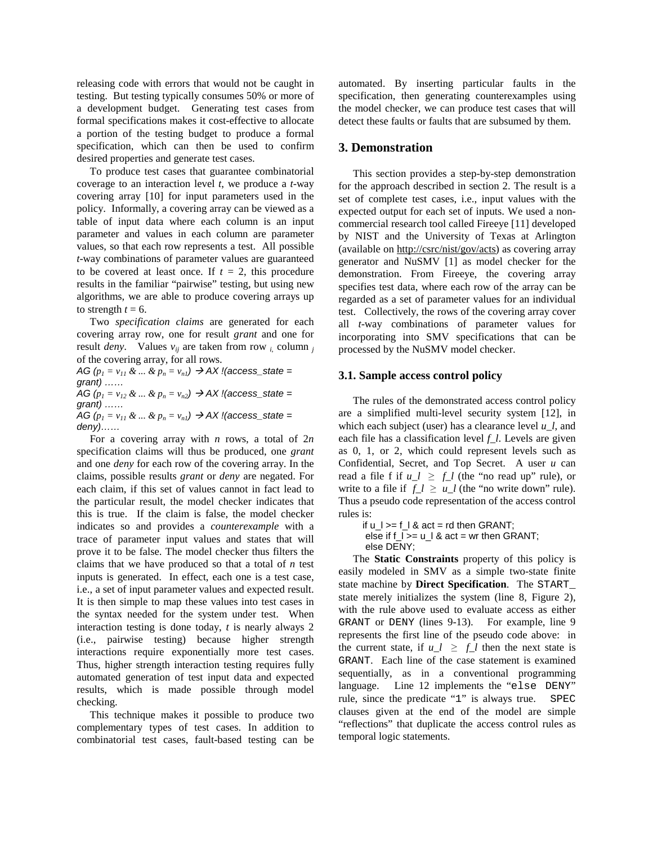releasing code with errors that would not be caught in testing. But testing typically consumes 50% or more of a development budget. Generating test cases from formal specifications makes it cost-effective to allocate a portion of the testing budget to produce a formal specification, which can then be used to confirm desired properties and generate test cases.

 To produce test cases that guarantee combinatorial coverage to an interaction level *t*, we produce a *t*-way covering array [10] for input parameters used in the policy. Informally, a covering array can be viewed as a table of input data where each column is an input parameter and values in each column are parameter values, so that each row represents a test. All possible *t*-way combinations of parameter values are guaranteed to be covered at least once. If  $t = 2$ , this procedure results in the familiar "pairwise" testing, but using new algorithms, we are able to produce covering arrays up to strength  $t = 6$ .

 Two *specification claims* are generated for each covering array row, one for result *grant* and one for result *deny*. Values  $v_{ij}$  are taken from row  $i$ , column  $j$ of the covering array, for all rows.

 $AG(p_1 = v_{11} \& \dots \& p_n = v_{n1}) \rightarrow AX$  !(access\_state = grant) ……  $AG(p_1 = v_{12} \& \dots \& p_n = v_{n2}) \rightarrow AX$  !(access\_state = grant) ……  $AG(p_1 = v_{11} \& \dots \& p_n = v_{n1}) \rightarrow AX$  !(access\_state =

deny)……

 For a covering array with *n* rows, a total of 2*n*  specification claims will thus be produced, one *grant*  and one *deny* for each row of the covering array. In the claims, possible results *grant* or *deny* are negated. For each claim, if this set of values cannot in fact lead to the particular result, the model checker indicates that this is true. If the claim is false, the model checker indicates so and provides a *counterexample* with a trace of parameter input values and states that will prove it to be false. The model checker thus filters the claims that we have produced so that a total of *n* test inputs is generated. In effect, each one is a test case, i.e., a set of input parameter values and expected result. It is then simple to map these values into test cases in the syntax needed for the system under test. When interaction testing is done today, *t* is nearly always 2 (i.e., pairwise testing) because higher strength interactions require exponentially more test cases. Thus, higher strength interaction testing requires fully automated generation of test input data and expected results, which is made possible through model checking.

 This technique makes it possible to produce two complementary types of test cases. In addition to combinatorial test cases, fault-based testing can be  automated. By inserting particular faults in the specification, then generating counterexamples using the model checker, we can produce test cases that will detect these faults or faults that are subsumed by them.

## **3. Demonstration**

 This section provides a step-by-step demonstration for the approach described in section 2. The result is a set of complete test cases, i.e., input values with the expected output for each set of inputs. We used a non- commercial research tool called Fireeye [11] developed by NIST and the University of Texas at Arlington (available on http://csrc/nist/gov/acts) as covering array generator and NuSMV [1] as model checker for the demonstration. From Fireeye, the covering array specifies test data, where each row of the array can be regarded as a set of parameter values for an individual test. Collectively, the rows of the covering array cover all *t*-way combinations of parameter values for incorporating into SMV specifications that can be processed by the NuSMV model checker.

## **3.1. Sample access control policy**

 The rules of the demonstrated access control policy are a simplified multi-level security system [12], in which each subject (user) has a clearance level *u\_l*, and each file has a classification level *f\_l*. Levels are given as 0, 1, or 2, which could represent levels such as Confidential, Secret, and Top Secret. A user *u* can read a file f if  $u_l \ge f_l$  (the "no read up" rule), or write to a file if  $f_l \geq u_l$  (the "no write down" rule). Thus a pseudo code representation of the access control rules is:

if  $u_l$   $>=$  f $_l$  & act = rd then GRANT; else if  $f_$   $\geq$  = u  $\mid$  & act = wr then GRANT;

else DENY;

 The **Static Constraints** property of this policy is easily modeled in SMV as a simple two-state finite state machine by **Direct Specification**. The START\_ state merely initializes the system (line 8, Figure 2), with the rule above used to evaluate access as either GRANT or DENY (lines 9-13). For example, line 9 represents the first line of the pseudo code above: in the current state, if  $u_l \ge f_l$  then the next state is GRANT. Each line of the case statement is examined sequentially, as in a conventional programming language. Line 12 implements the "else DENY" rule, since the predicate "1" is always true. SPEC clauses given at the end of the model are simple "reflections" that duplicate the access control rules as temporal logic statements.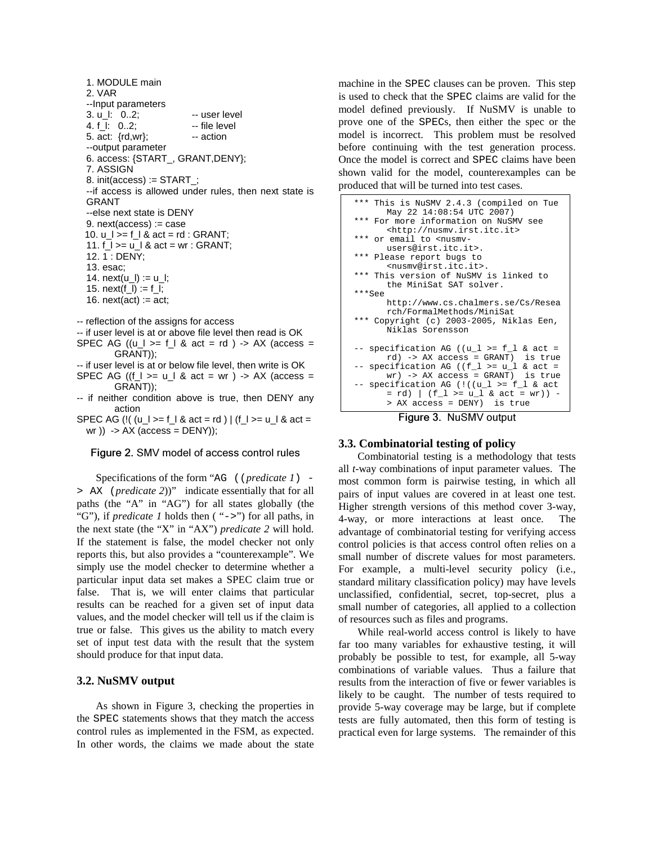1. MODULE main 2. VAR 3. u\_l: 0..2; -- user level 5. act: {rd,wr}; -- action --output parameter 6. access: {START\_, GRANT,DENY}; 7. ASSIGN 8. init(access) := START\_; --if access is allowed under rules, then next state is --else next state is DENY 9. next(access) := case 11.  $f_{-}$   $>=$   $u_{-}$   $k$  act  $=$  wr : GRANT; 12. 1 : DENY; 13. esac; 14. next(u\_l) := u\_l; 15.  $next(f_l) := f_l$ ; 16. next(act) :=  $act$ ; -- reflection of the assigns for access --Input parameters 4. f I: 0..2; -- file level GRANT 10.  $u_l$  >=  $f_l$  & act =  $rd$  : GRANT;

 -- if user level is at or above file level then read is OK SPEC AG  $((u_l \gt = f_l \& act = rd) \rightarrow AX$  (access = GRANT));

 -- if user level is at or below file level, then write is OK SPEC AG ((f\_l >= u\_l & act = wr) -> AX (access =

- -- if neither condition above is true, then DENY any GRANT)); action
- SPEC AG (!( (u\_l >= f\_l & act = rd ) | (f\_l >= u\_l & act = wr )) -> AX (access = DENY));

#### Figure 2. SMV model of access control rules

 Specifications of the form "AG ((*predicate 1*) > AX (*predicate 2*))" indicate essentially that for all paths (the "A" in "AG") for all states globally (the "G"), if *predicate 1* holds then ( "->") for all paths, in the next state (the "X" in "AX") *predicate 2* will hold. If the statement is false, the model checker not only reports this, but also provides a "counterexample". We simply use the model checker to determine whether a particular input data set makes a SPEC claim true or false. That is, we will enter claims that particular results can be reached for a given set of input data values, and the model checker will tell us if the claim is true or false. This gives us the ability to match every set of input test data with the result that the system should produce for that input data.

## **3.2. NuSMV output**

 As shown in Figure 3, checking the properties in the SPEC statements shows that they match the access control rules as implemented in the FSM, as expected. In other words, the claims we made about the state

 machine in the SPEC clauses can be proven. This step is used to check that the SPEC claims are valid for the model defined previously. If NuSMV is unable to prove one of the SPECs, then either the spec or the before continuing with the test generation process. Once the model is correct and SPEC claims have been shown valid for the model, counterexamples can be produced that will be turned into test cases. model is incorrect. This problem must be resolved



Figure 3. NuSMV output

## **3.3. Combinatorial testing of policy**

 Combinatorial testing is a methodology that tests all *t*-way combinations of input parameter values. The most common form is pairwise testing, in which all pairs of input values are covered in at least one test. Higher strength versions of this method cover 3-way, 4-way, or more interactions at least once. The advantage of combinatorial testing for verifying access control policies is that access control often relies on a small number of discrete values for most parameters. For example, a multi-level security policy (i.e., standard military classification policy) may have levels unclassified, confidential, secret, top-secret, plus a small number of categories, all applied to a collection of resources such as files and programs.

 While real-world access control is likely to have far too many variables for exhaustive testing, it will probably be possible to test, for example, all 5-way combinations of variable values. Thus a failure that results from the interaction of five or fewer variables is likely to be caught. The number of tests required to provide 5-way coverage may be large, but if complete tests are fully automated, then this form of testing is practical even for large systems. The remainder of this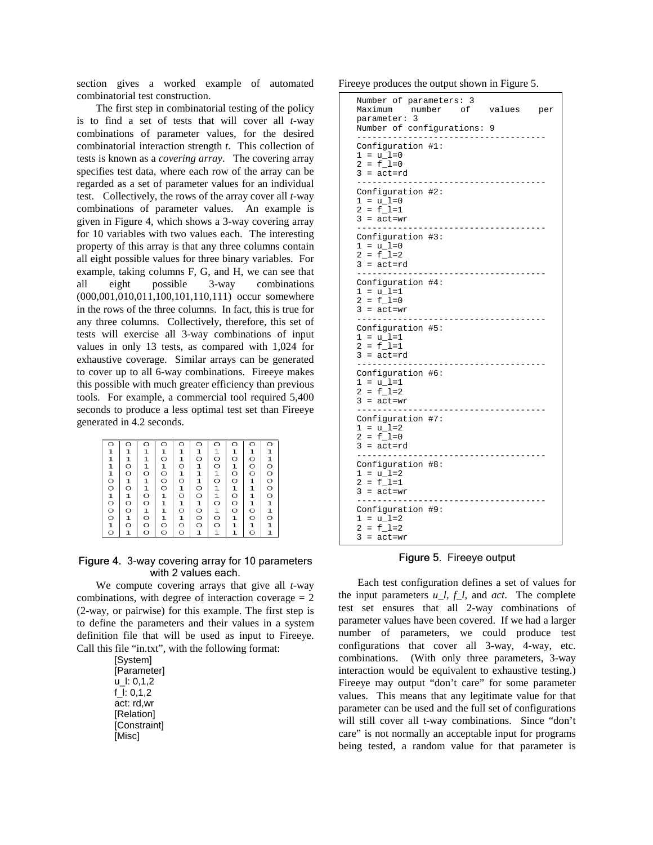section gives a worked example of automated combinatorial test construction.

 The first step in combinatorial testing of the policy is to find a set of tests that will cover all *t*-way combinations of parameter values, for the desired combinatorial interaction strength *t*. This collection of tests is known as a *covering array*. The covering array specifies test data, where each row of the array can be regarded as a set of parameter values for an individual test. Collectively, the rows of the array cover all *t*-way combinations of parameter values. An example is given in Figure 4, which shows a 3-way covering array for 10 variables with two values each. The interesting property of this array is that any three columns contain all eight possible values for three binary variables. For example, taking columns F, G, and H, we can see that all (000,001,010,011,100,101,110,111) occur somewhere in the rows of the three columns. In fact, this is true for any three columns. Collectively, therefore, this set of tests will exercise all 3-way combinations of input values in only 13 tests, as compared with 1,024 for exhaustive coverage. Similar arrays can be generated to cover up to all 6-way combinations. Fireeye makes this possible with much greater efficiency than previous tools. For example, a commercial tool required 5,400 seconds to produce a less optimal test set than Fireeye generated in 4.2 seconds. eight possible 3-way combinations

| ∩                 |             |              | $\circ$            | ∩            | $\Omega$ | O                 |             | ∩       | $\circ$     |
|-------------------|-------------|--------------|--------------------|--------------|----------|-------------------|-------------|---------|-------------|
| 1                 | 1           | 1            | 1                  | 1            | 1        | 1                 | 1           | 1       | 1           |
| $\mathbf{1}$      | $\mathbf 1$ | ı            | $\circ$            | $\mathbf{1}$ | O        | $\circ$           | $\circ$     | O       | 1           |
| $\mathbf{1}$      | $\circ$     | 1            | 1                  | O            | 1        | $\circ$           | ı           | O       | $\circ$     |
| $\frac{1}{\circ}$ | O           | $\circ$      | $\overline{\circ}$ | ı            | 1        | $\frac{1}{\circ}$ | O           | O       | O           |
|                   | ı           | ı            | O                  | O            | 1        |                   | O           | 1       | O           |
| $\circ$           | $\Omega$    | $\mathbf 1$  | O                  | 1            | O        | 1                 | $\mathbf 1$ | 1       | O           |
| $\frac{1}{\circ}$ | 1           | O            | 1                  | $\circ$      | $\circ$  | $\frac{1}{\circ}$ | $\circ$     | 1       | O           |
|                   | O           | $\circ$      | 1                  | ı            | 1        |                   | O           | 1       | $\mathbf 1$ |
| $\circ$           | $\circ$     | $\mathbf{1}$ | $\mathbf 1$        | $\circ$      | O        | $\mathbf 1$       | O           | O       | 1           |
| $\circ$           | 1           | O            | $\frac{1}{\circ}$  | 1            | O        | $\circ$           | 1           | O       | O           |
| $\frac{1}{\circ}$ | O           | O            |                    | O            | O        | $\circ$           | 1           | ı       | 1           |
|                   |             | O            | O                  | O            | ı        | $\mathbf 1$       | 1           | $\circ$ | $\mathbf 1$ |

#### Figure 4. 3-way covering array for 10 parameters with 2 values each.

 We compute covering arrays that give all *t*-way combinations, with degree of interaction coverage  $= 2$  (2-way, or pairwise) for this example. The first step is to define the parameters and their values in a system definition file that will be used as input to Fireeye. Call this file "in.txt", with the following format:

> u\_l: 0,1,2 f\_l: 0,1,2 act: rd,wr [System] [Parameter] [Relation] [Constraint] [Misc]

Fireeye produces the output shown in Figure 5.

 $\mathsf{l}$ 

| Number of parameters: 3<br>Maximum number of<br>values<br>per<br>parameter: 3<br>Number of configurations: 9<br>------------- |  |
|-------------------------------------------------------------------------------------------------------------------------------|--|
| Configuration #1:<br>$1 = u_l = 0$<br>$2 = f_l = 0$<br>$3 = act = rd$<br>.                                                    |  |
| Configuration #2:<br>$1 = u_l = 0$<br>$2 = f_l = 1$<br>$3 = act = wr$<br>.                                                    |  |
| Configuration #3:<br>$1 = u_l = 0$<br>$2 = f \ 1=2$<br>$3 = act = rd$<br>--------                                             |  |
| Configuration #4:<br>1 = u_l=1<br>$2 = f_l = 0$<br>3 = act=wr<br>__________                                                   |  |
| Configuration #5:<br>1 = u_l=1<br>$2 = f_l = 1$<br>$3 = act = rd$<br>----------                                               |  |
| Configuration #6:<br>1 = u_l=1<br>$2 = f \ 1=2$<br>$3 = act = wr$<br>.                                                        |  |
| Configuration #7:<br>$1 = u_l = 2$<br>$2 = f_l = 0$<br>3 = act=rd                                                             |  |
| Configuration #8:<br>$1 = u_l = 2$<br>$2 = f_l = 1$<br>$3 = act = wr$<br>. <i>.</i>                                           |  |
| Configuration #9:<br>$1 = u_l = 2$<br>$2 = f_l = 2$<br>$3 = act = wr$                                                         |  |

Figure 5. Fireeye output

 Each test configuration defines a set of values for the input parameters *u\_l*, *f\_l*, and *act*. The complete test set ensures that all 2-way combinations of parameter values have been covered. If we had a larger number of parameters, we could produce test configurations that cover all 3-way, 4-way, etc. combinations. (With only three parameters, 3-way interaction would be equivalent to exhaustive testing.) Fireeye may output "don't care" for some parameter values. This means that any legitimate value for that parameter can be used and the full set of configurations will still cover all t-way combinations. Since "don't care" is not normally an acceptable input for programs being tested, a random value for that parameter is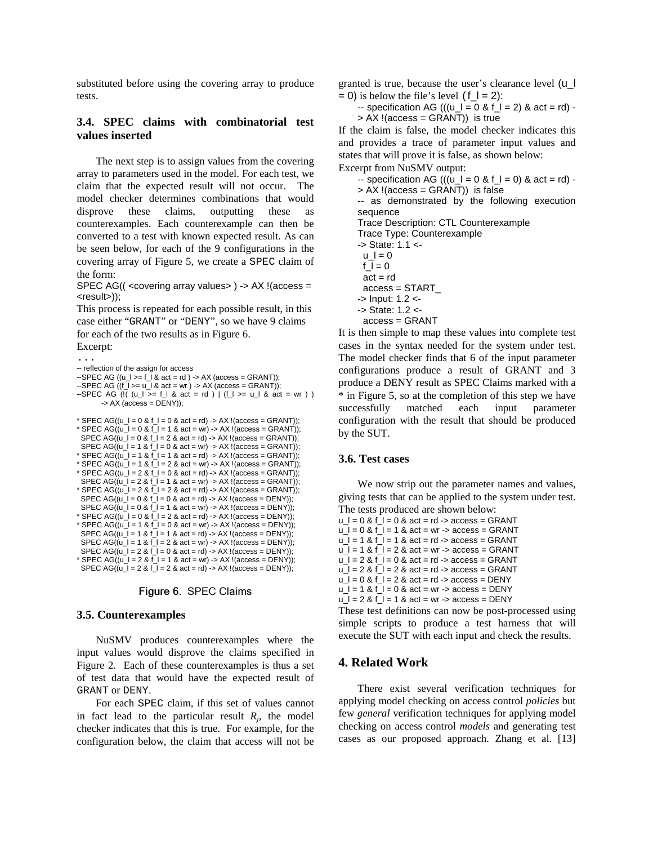substituted before using the covering array to produce tests.

## **3.4. SPEC claims with combinatorial test values inserted**

 The next step is to assign values from the covering array to parameters used in the model. For each test, we claim that the expected result will not occur. The model checker determines combinations that would disprove counterexamples. Each counterexample can then be converted to a test with known expected result. As can be seen below, for each of the 9 configurations in the covering array of Figure 5, we create a SPEC claim of the form: these claims, outputting these as

 SPEC AG(( <covering array values> ) -> AX !(access = <result>));

 This process is repeated for each possible result, in this case either "GRANT" or "DENY", so we have 9 claims for each of the two results as in Figure 6.

Excerpt:

```
 
-- reflection of the assign for access
-SPEC AG ((u_l >= f_l & act = rd ) -> AX (access = GRANT));
* SPEC AG((u_l = 0 & f_l = 0 & act = rd) -> AX!(access = GRANT));...
--SPEC AG ((f_1) = u_1 \& \text{ act } = wr) -> AX (access = GRANT));
--SPEC AG (!( (u_l \geq f_l \land act = rd) | (f_l \geq u_l \land act = wr) )\rightarrow AX (access = DENY));
* SPEC AG((u_1 = 0 & 1) = 1 & 0 & 0 & 0) = AX !(access = GRANT));
 SPEC AG((u_l = 0 & f_l = 2 & act = rd) \rightarrow AX!(access = GRANT));
 SPEC AG((u_l = 1 & f_l = 0 & act = wr) -> AX !(access = GRANT));
```

```
* SPEC AG((u_l = 2 & f_l = 1 & a \cdot act = wr) - 2 & A \cdot (access = DENY));* SPEC AG((u_1 = 1 \& f_1 = 1 \& act = rd) -> AX!(access = GRANT));* SPEC AG((u_1 = 1 \& f_1 = 2 \& \text{act} = wr) -> AX !(access = GRANT));
* SPEC AG((u_l = 2 & f_l = 0 & act = rd) -> AX !(access = GRANT));
 SPEC AG((u_1 = 2 & f_1 = 1 & a \cdot act = wr) \rightarrow AX \cdot (access = GRANT));* SPEC AG((u_l = 2 & f_l = 2 & act = rd) -> AX !(access = GRANT));
 SPEC AG((u_l = 0 & f_l = 0 & act = rd) -> AX !(access = DENY));
 SPEC AG((u_l = 0 & f_l = 1 & act = wr) -> AX !(access = DENY));
 SPEC AG((u_l = 0 & f_l = 2 & act = rd) -> AX!(access = DENY));* SPEC AG((u_l = 1 & f_l = 0 & act = wr) -> AX !(access = DENY));
 SPEC AG(\overline{(u)} = 1 & f = 1 & act = rd) -> AX !(access = DENY));
 SPEC AG((u_l = 1 & f_l = 2 & act = wr) -> AX ! (access = DENY));
 SPEC AG((u_l = 2 & f_l = 0 & act = rd) -> AX!(access = DENY));SPEC AG((u_1 = 2 \& f_1 = 2 \& act = rd) \rightarrow AX!(access = DENY));
```
## Figure 6. SPEC Claims

#### **3.5. Counterexamples**

 NuSMV produces counterexamples where the input values would disprove the claims specified in Figure 2. Each of these counterexamples is thus a set of test data that would have the expected result of GRANT or DENY.

 For each SPEC claim, if this set of values cannot in fact lead to the particular result  $R_j$ , the model checker indicates that this is true. For example, for the configuration below, the claim that access will not be  granted is true, because the user's clearance level (u\_l  $= 0$ ) is below the file's level (f<sub>-</sub> $I = 2$ ):

 $-$  specification AG (((u\_l = 0 & f\_l = 2) & act = rd)  $-$ > AX !(access = GRANT)) is true

 If the claim is false, the model checker indicates this and provides a trace of parameter input values and states that will prove it is false, as shown below:

 Excerpt from NuSMV output:  $-$  specification AG (((u\_l = 0 & f\_l = 0) & act = rd)  $-$ 

 > AX !(access = GRANT)) is false -- as demonstrated by the following execution Trace Description: CTL Counterexample Trace Type: Counterexample -> State: 1.1 < sequence  $u = 0$ f  $l = 0$ 

- $act = rd$ access = START\_
- -> Input: 1.2 <
- -> State: 1.2 <
- access = GRANT

 It is then simple to map these values into complete test cases in the syntax needed for the system under test. The model checker finds that 6 of the input parameter configurations produce a result of GRANT and 3 produce a DENY result as SPEC Claims marked with a \* in Figure 5, so at the completion of this step we have successfully matched each input parameter configuration with the result that should be produced by the SUT.

## **3.6. Test cases**

 We now strip out the parameter names and values, giving tests that can be applied to the system under test. The tests produced are shown below:

 $u_l = 0$  &  $f_l = 0$  & act = rd -> access = GRANT u  $l = 0$  & f  $l = 1$  & act = wr -> access = GRANT  $u_l = 1$  &  $f_l = 1$  & act = rd -> access = GRANT  $u_l = 1$  &  $f_l = 2$  & act = wr -> access = GRANT

- u  $l = 2$  & f  $l = 0$  & act = rd -> access = GRANT
- $u_l = 2$  &  $f_l = 2$  & act = rd -> access = GRANT
- $u_l = 0$  & f $_l = 2$  & act = rd -> access = DENY
- u  $l = 1$  & f  $l = 0$  & act = wr -> access = DENY
- $u_l = 2$  &  $f_l = 1$  & act = wr -> access = DENY

 These test definitions can now be post-processed using simple scripts to produce a test harness that will execute the SUT with each input and check the results.

# **4. Related Work**

 There exist several verification techniques for applying model checking on access control *policies* but few *general* verification techniques for applying model checking on access control *models* and generating test cases as our proposed approach. Zhang et al. [13]